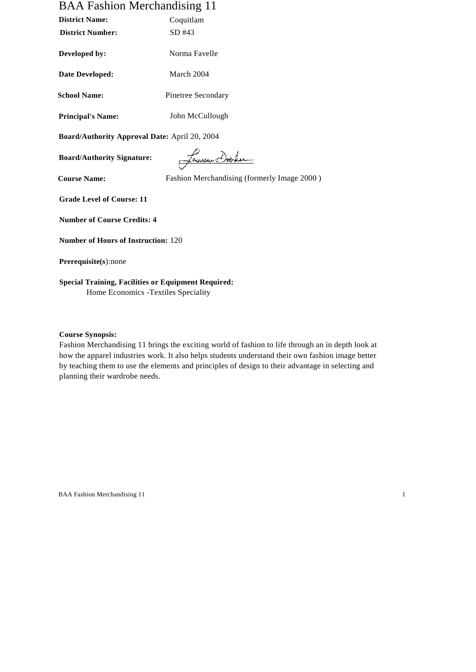# BAA Fashion Merchandising 11

| <b>District Name:</b>                         | Coquitlam                                   |
|-----------------------------------------------|---------------------------------------------|
| <b>District Number:</b>                       | SD #43                                      |
| Developed by:                                 | Norma Favelle                               |
| Date Developed:                               | March 2004                                  |
| <b>School Name:</b>                           | Pinetree Secondary                          |
| <b>Principal's Name:</b>                      | John McCullough                             |
| Board/Authority Approval Date: April 20, 2004 |                                             |
| <b>Board/Authority Signature:</b>             | <u> James Dobler</u>                        |
| <b>Course Name:</b>                           | Fashion Merchandising (formerly Image 2000) |
| <b>Grade Level of Course: 11</b>              |                                             |
| <b>Number of Course Credits: 4</b>            |                                             |
| <b>Number of Hours of Instruction: 120</b>    |                                             |
| Prerequisite(s):none                          |                                             |
|                                               |                                             |

**Special Training, Facilities or Equipment Required:** Home Economics -Textiles Speciality

**Course Synopsis:**

Fashion Merchandising 11 brings the exciting world of fashion to life through an in depth look at how the apparel industries work. It also helps students understand their own fashion image better by teaching them to use the elements and principles of design to their advantage in selecting and planning their wardrobe needs.

BAA Fashion Merchandising 11 1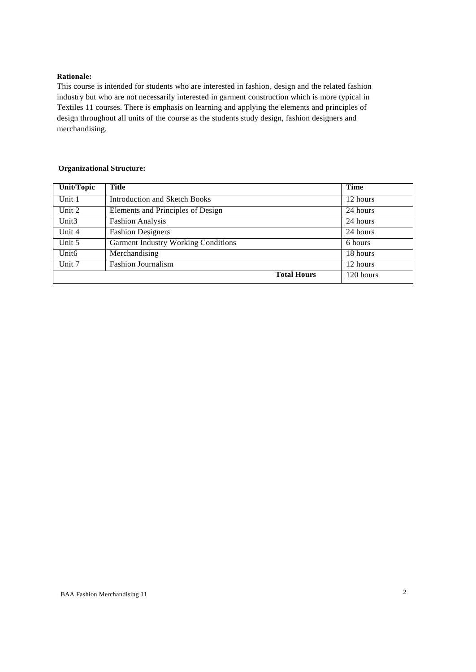### **Rationale:**

This course is intended for students who are interested in fashion, design and the related fashion industry but who are not necessarily interested in garment construction which is more typical in Textiles 11 courses. There is emphasis on learning and applying the elements and principles of design throughout all units of the course as the students study design, fashion designers and merchandising.

## **Organizational Structure:**

| <b>Unit/Topic</b> | <b>Title</b>                               | Time      |
|-------------------|--------------------------------------------|-----------|
| Unit 1            | Introduction and Sketch Books              | 12 hours  |
| Unit 2            | Elements and Principles of Design          | 24 hours  |
| Unit <sub>3</sub> | <b>Fashion Analysis</b>                    | 24 hours  |
| Unit 4            | <b>Fashion Designers</b>                   | 24 hours  |
| Unit 5            | <b>Garment Industry Working Conditions</b> | 6 hours   |
| Unit <sub>6</sub> | Merchandising                              | 18 hours  |
| Unit 7            | <b>Fashion Journalism</b>                  | 12 hours  |
|                   | <b>Total Hours</b>                         | 120 hours |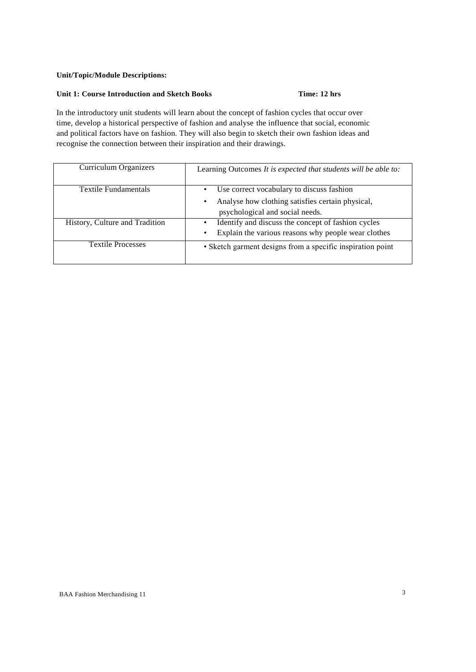## **Unit/Topic/Module Descriptions:**

## **Unit 1: Course Introduction and Sketch Books Time: 12 hrs**

In the introductory unit students will learn about the concept of fashion cycles that occur over time, develop a historical perspective of fashion and analyse the influence that social, economic and political factors have on fashion. They will also begin to sketch their own fashion ideas and recognise the connection between their inspiration and their drawings.

| Curriculum Organizers          | Learning Outcomes It is expected that students will be able to:                                                                            |
|--------------------------------|--------------------------------------------------------------------------------------------------------------------------------------------|
| Textile Fundamentals           | Use correct vocabulary to discuss fashion<br>٠<br>Analyse how clothing satisfies certain physical,<br>٠<br>psychological and social needs. |
| History, Culture and Tradition | Identify and discuss the concept of fashion cycles<br>Explain the various reasons why people wear clothes<br>$\bullet$                     |
| <b>Textile Processes</b>       | • Sketch garment designs from a specific inspiration point                                                                                 |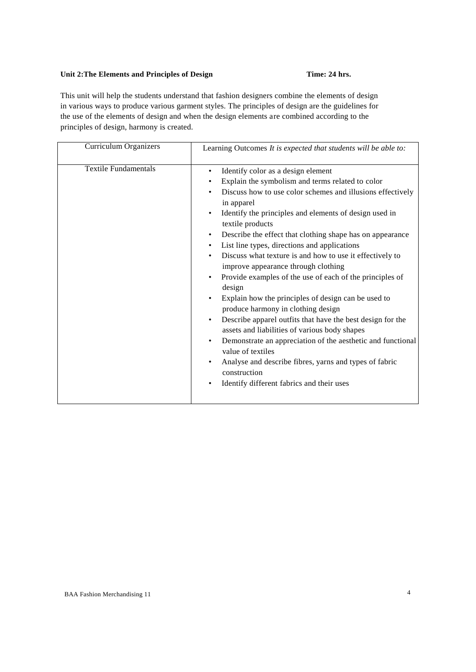## Unit 2: The Elements and Principles of Design **Time: 24 hrs.**

This unit will help the students understand that fashion designers combine the elements of design in various ways to produce various garment styles. The principles of design are the guidelines for the use of the elements of design and when the design elements are combined according to the principles of design, harmony is created.

| Curriculum Organizers       | Learning Outcomes It is expected that students will be able to:                                                                                                                                                                                                                                                                                                                                                                                                                                                                                                                                                                                                                                                                                                                                                                                                                                                                                                                                                           |
|-----------------------------|---------------------------------------------------------------------------------------------------------------------------------------------------------------------------------------------------------------------------------------------------------------------------------------------------------------------------------------------------------------------------------------------------------------------------------------------------------------------------------------------------------------------------------------------------------------------------------------------------------------------------------------------------------------------------------------------------------------------------------------------------------------------------------------------------------------------------------------------------------------------------------------------------------------------------------------------------------------------------------------------------------------------------|
| <b>Textile Fundamentals</b> | Identify color as a design element<br>٠<br>Explain the symbolism and terms related to color<br>Discuss how to use color schemes and illusions effectively<br>٠<br>in apparel<br>Identify the principles and elements of design used in<br>٠<br>textile products<br>Describe the effect that clothing shape has on appearance<br>٠<br>List line types, directions and applications<br>٠<br>Discuss what texture is and how to use it effectively to<br>٠<br>improve appearance through clothing<br>Provide examples of the use of each of the principles of<br>٠<br>design<br>Explain how the principles of design can be used to<br>٠<br>produce harmony in clothing design<br>Describe apparel outfits that have the best design for the<br>٠<br>assets and liabilities of various body shapes<br>Demonstrate an appreciation of the aesthetic and functional<br>٠<br>value of textiles<br>Analyse and describe fibres, yarns and types of fabric<br>٠<br>construction<br>Identify different fabrics and their uses<br>٠ |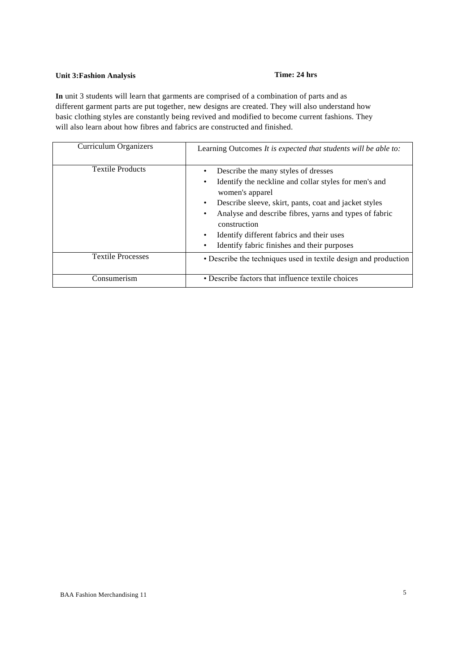# **Unit 3:Fashion Analysis Time: 24 hrs**

**In** unit 3 students will learn that garments are comprised of a combination of parts and as different garment parts are put together, new designs are created. They will also understand how basic clothing styles are constantly being revived and modified to become current fashions. They will also learn about how fibres and fabrics are constructed and finished.

| Curriculum Organizers    | Learning Outcomes It is expected that students will be able to:                                                                                                                                                                                                                                                                                          |
|--------------------------|----------------------------------------------------------------------------------------------------------------------------------------------------------------------------------------------------------------------------------------------------------------------------------------------------------------------------------------------------------|
| <b>Textile Products</b>  | Describe the many styles of dresses<br>Identify the neckline and collar styles for men's and<br>women's apparel<br>Describe sleeve, skirt, pants, coat and jacket styles<br>٠<br>Analyse and describe fibres, yarns and types of fabric<br>construction<br>Identify different fabrics and their uses<br>٠<br>Identify fabric finishes and their purposes |
| <b>Textile Processes</b> | • Describe the techniques used in textile design and production                                                                                                                                                                                                                                                                                          |
| Consumerism              | • Describe factors that influence textile choices                                                                                                                                                                                                                                                                                                        |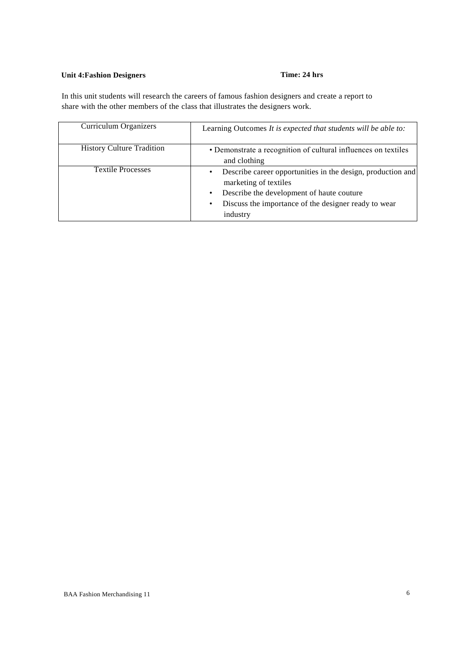## **Unit 4:Fashion Designers Time: 24 hrs**

In this unit students will research the careers of famous fashion designers and create a report to share with the other members of the class that illustrates the designers work.

| Curriculum Organizers            | Learning Outcomes It is expected that students will be able to:                                                                                                                                       |
|----------------------------------|-------------------------------------------------------------------------------------------------------------------------------------------------------------------------------------------------------|
| <b>History Culture Tradition</b> | • Demonstrate a recognition of cultural influences on textiles<br>and clothing                                                                                                                        |
| <b>Textile Processes</b>         | Describe career opportunities in the design, production and<br>marketing of textiles<br>Describe the development of haute couture<br>Discuss the importance of the designer ready to wear<br>industry |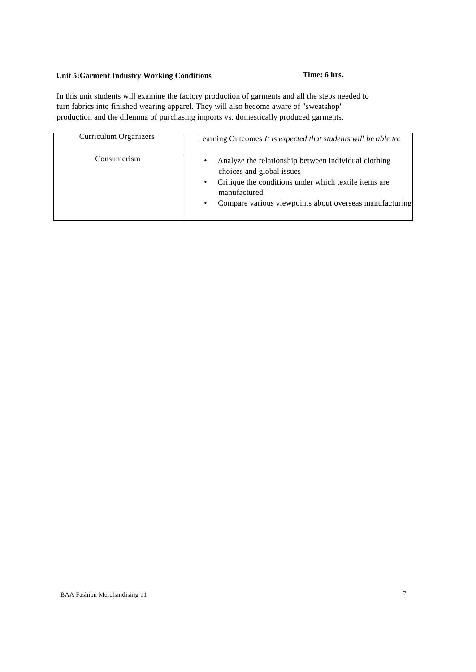## **Unit 5:Garment Industry Working Conditions Time: 6 hrs.**

In this unit students will examine the factory production of garments and all the steps needed to turn fabrics into finished wearing apparel. They will also become aware of "sweatshop" production and the dilemma of purchasing imports vs. domestically produced garments.

| Curriculum Organizers | Learning Outcomes It is expected that students will be able to:                                                                                                                                                                      |
|-----------------------|--------------------------------------------------------------------------------------------------------------------------------------------------------------------------------------------------------------------------------------|
| Consumerism           | Analyze the relationship between individual clothing<br>٠<br>choices and global issues<br>Critique the conditions under which textile items are<br>٠<br>manufactured<br>Compare various viewpoints about overseas manufacturing<br>٠ |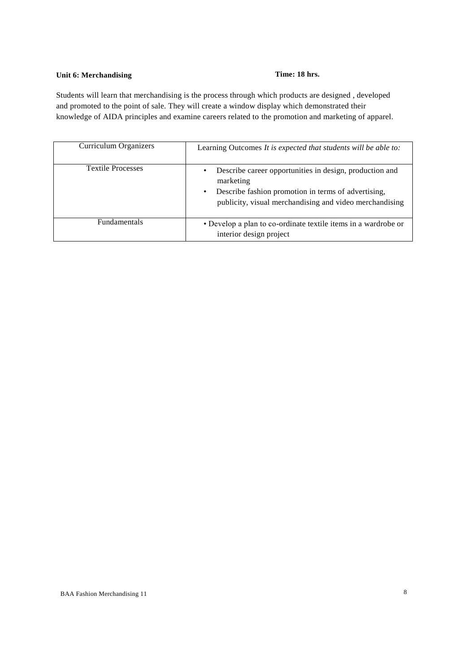## **Unit 6: Merchandising**  Time: 18 hrs.

Students will learn that merchandising is the process through which products are designed , developed and promoted to the point of sale. They will create a window display which demonstrated their knowledge of AIDA principles and examine careers related to the promotion and marketing of apparel.

| Curriculum Organizers    | Learning Outcomes It is expected that students will be able to:                                                                                                                                     |
|--------------------------|-----------------------------------------------------------------------------------------------------------------------------------------------------------------------------------------------------|
| <b>Textile Processes</b> | Describe career opportunities in design, production and<br>$\bullet$<br>marketing<br>Describe fashion promotion in terms of advertising,<br>publicity, visual merchandising and video merchandising |
| <b>Fundamentals</b>      | • Develop a plan to co-ordinate textile items in a wardrobe or<br>interior design project                                                                                                           |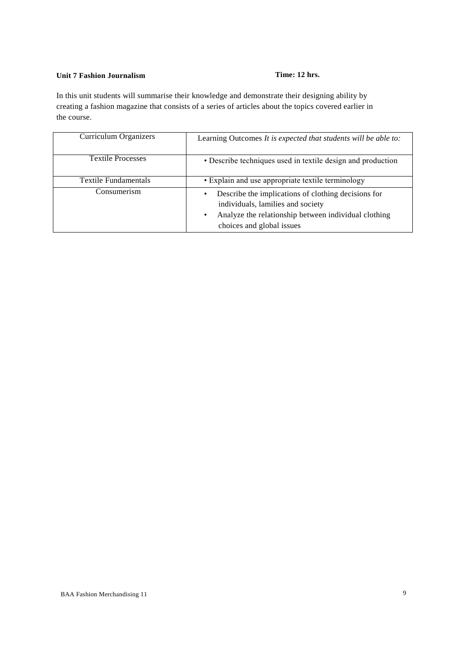## **Unit 7 Fashion Journalism Time: 12 hrs.**

In this unit students will summarise their knowledge and demonstrate their designing ability by creating a fashion magazine that consists of a series of articles about the topics covered earlier in the course.

| Curriculum Organizers       | Learning Outcomes It is expected that students will be able to:                                                                                                               |
|-----------------------------|-------------------------------------------------------------------------------------------------------------------------------------------------------------------------------|
| <b>Textile Processes</b>    | • Describe techniques used in textile design and production                                                                                                                   |
| <b>Textile Fundamentals</b> | • Explain and use appropriate textile terminology                                                                                                                             |
| Consumerism                 | Describe the implications of clothing decisions for<br>individuals, lamilies and society<br>Analyze the relationship between individual clothing<br>choices and global issues |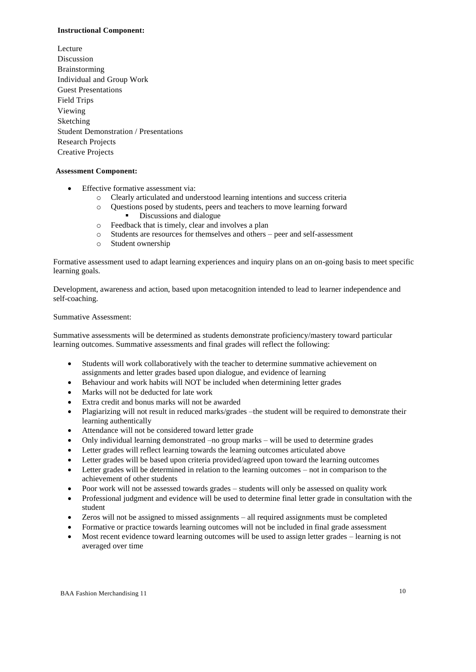### **Instructional Component:**

Lecture Discussion Brainstorming Individual and Group Work Guest Presentations Field Trips Viewing Sketching Student Demonstration / Presentations Research Projects Creative Projects

### **Assessment Component:**

- Effective formative assessment via:
	- o Clearly articulated and understood learning intentions and success criteria
	- o Questions posed by students, peers and teachers to move learning forward Discussions and dialogue
	- o Feedback that is timely, clear and involves a plan
	- o Students are resources for themselves and others peer and self-assessment
	- o Student ownership

Formative assessment used to adapt learning experiences and inquiry plans on an on-going basis to meet specific learning goals.

Development, awareness and action, based upon metacognition intended to lead to learner independence and self-coaching.

### Summative Assessment:

Summative assessments will be determined as students demonstrate proficiency/mastery toward particular learning outcomes. Summative assessments and final grades will reflect the following:

- Students will work collaboratively with the teacher to determine summative achievement on assignments and letter grades based upon dialogue, and evidence of learning
- Behaviour and work habits will NOT be included when determining letter grades
- Marks will not be deducted for late work
- Extra credit and bonus marks will not be awarded
- Plagiarizing will not result in reduced marks/grades –the student will be required to demonstrate their learning authentically
- Attendance will not be considered toward letter grade
- Only individual learning demonstrated –no group marks will be used to determine grades
- Letter grades will reflect learning towards the learning outcomes articulated above
- Letter grades will be based upon criteria provided/agreed upon toward the learning outcomes
- Letter grades will be determined in relation to the learning outcomes not in comparison to the achievement of other students
- Poor work will not be assessed towards grades students will only be assessed on quality work
- Professional judgment and evidence will be used to determine final letter grade in consultation with the student
- Zeros will not be assigned to missed assignments all required assignments must be completed
- Formative or practice towards learning outcomes will not be included in final grade assessment
- Most recent evidence toward learning outcomes will be used to assign letter grades learning is not averaged over time